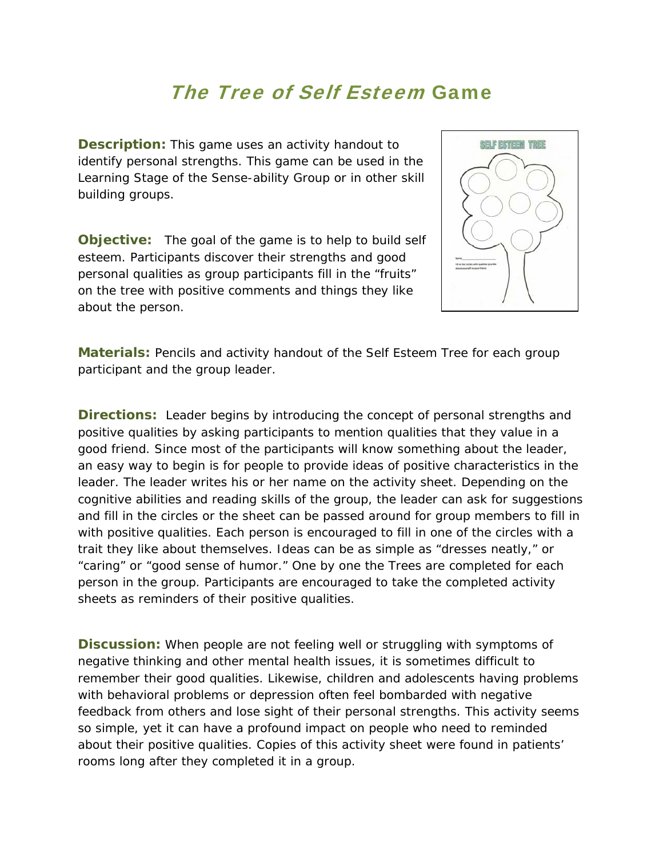## The Tree of Self Esteem Game

**Description:** This game uses an activity handout to identify personal strengths. This game can be used in the *Learning Stage* of the *Sense-ability Group* or in other skill building groups.

**Objective:** The goal of the game is to help to build self esteem. Participants discover their strengths and good personal qualities as group participants fill in the "fruits" on the tree with positive comments and things they like about the person.



**Materials:** Pencils and activity handout of the *Self Esteem Tree* for each group participant and the group leader.

**Directions:** Leader begins by introducing the concept of personal strengths and positive qualities by asking participants to mention qualities that they value in a good friend. Since most of the participants will know something about the leader, an easy way to begin is for people to provide ideas of positive characteristics in the leader. The leader writes his or her name on the activity sheet. Depending on the cognitive abilities and reading skills of the group, the leader can ask for suggestions and fill in the circles or the sheet can be passed around for group members to fill in with positive qualities. Each person is encouraged to fill in one of the circles with a trait they like about themselves. Ideas can be as simple as "dresses neatly," or "caring" or "good sense of humor." One by one the Trees are completed for each person in the group. Participants are encouraged to take the completed activity sheets as reminders of their positive qualities.

**Discussion:** When people are not feeling well or struggling with symptoms of negative thinking and other mental health issues, it is sometimes difficult to remember their good qualities. Likewise, children and adolescents having problems with behavioral problems or depression often feel bombarded with negative feedback from others and lose sight of their personal strengths. This activity seems so simple, yet it can have a profound impact on people who need to reminded about their positive qualities. Copies of this activity sheet were found in patients' rooms long after they completed it in a group.